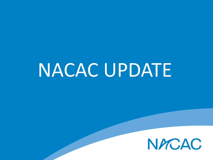# NACAC UPDATE

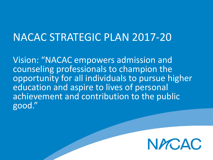#### NACAC STRATEGIC PLAN 2017-20

Vision: "NACAC empowers admission and counseling professionals to champion the opportunity for all individuals to pursue higher education and aspire to lives of personal achievement and contribution to the public good."

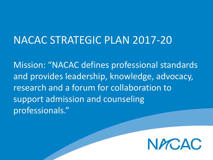### NACAC STRATEGIC PLAN 2017-20

Mission: "NACAC defines professional standards and provides leadership, knowledge, advocacy, research and a forum for collaboration to support admission and counseling professionals."

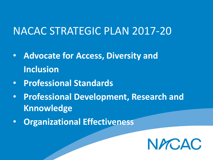### NACAC STRATEGIC PLAN 2017-20

- **Advocate for Access, Diversity and Inclusion**
- **Professional Standards**
- **Professional Development, Research and Knnowledge**
- **Organizational Effectiveness**

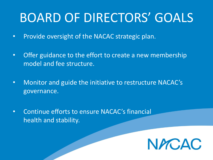# BOARD OF DIRECTORS' GOALS

- Provide oversight of the NACAC strategic plan.
- Offer guidance to the effort to create a new membership model and fee structure.
- Monitor and guide the initiative to restructure NACAC's governance.
- Continue efforts to ensure NACAC's financial health and stability.

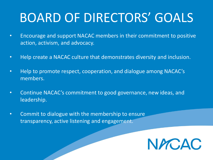# BOARD OF DIRECTORS' GOALS

- Encourage and support NACAC members in their commitment to positive action, activism, and advocacy.
- Help create a NACAC culture that demonstrates diversity and inclusion.
- Help to promote respect, cooperation, and dialogue among NACAC's members.
- Continue NACAC's commitment to good governance, new ideas, and leadership.
- Commit to dialogue with the membership to ensure transparency, active listening and engagement.

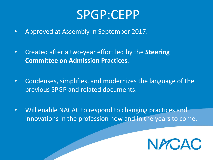## SPGP:CEPP

- Approved at Assembly in September 2017.
- Created after a two-year effort led by the **Steering Committee on Admission Practices**.
- Condenses, simplifies, and modernizes the language of the previous SPGP and related documents.
- Will enable NACAC to respond to changing practices and innovations in the profession now and in the years to come.

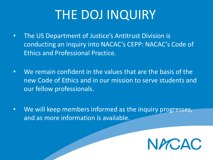# THE DOJ INQUIRY

- The US Department of Justice's Antitrust Division is conducting an inquiry into NACAC's CEPP: NACAC's Code of Ethics and Professional Practice.
- We remain confident in the values that are the basis of the new Code of Ethics and in our mission to serve students and our fellow professionals.
- We will keep members informed as the inquiry progresses, and as more information is available.

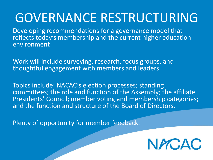# GOVERNANCE RESTRUCTURING

Developing recommendations for a governance model that reflects today's membership and the current higher education environment

Work will include surveying, research, focus groups, and thoughtful engagement with members and leaders.

Topics include: NACAC's election processes; standing committees; the role and function of the Assembly; the affiliate Presidents' Council; member voting and membership categories; and the function and structure of the Board of Directors.

Plenty of opportunity for member feedback.

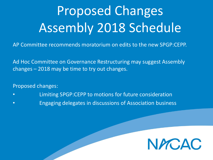# Proposed Changes Assembly 2018 Schedule

AP Committee recommends moratorium on edits to the new SPGP:CEPP.

Ad Hoc Committee on Governance Restructuring may suggest Assembly changes – 2018 may be time to try out changes.

Proposed changes:

- Limiting SPGP:CEPP to motions for future consideration
- Engaging delegates in discussions of Association business

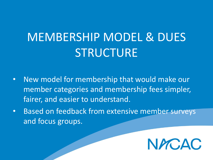# MEMBERSHIP MODEL & DUES STRUCTURE

- New model for membership that would make our member categories and membership fees simpler, fairer, and easier to understand.
- Based on feedback from extensive member surveys and focus groups.

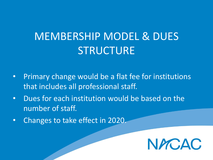### MEMBERSHIP MODEL & DUES **STRUCTURE**

- Primary change would be a flat fee for institutions that includes all professional staff.
- Dues for each institution would be based on the number of staff.
- Changes to take effect in 2020.

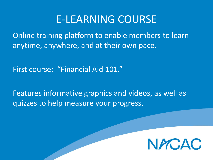#### E-LEARNING COURSE

Online training platform to enable members to learn anytime, anywhere, and at their own pace.

First course: "Financial Aid 101."

Features informative graphics and videos, as well as quizzes to help measure your progress.

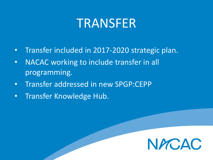### TRANSFER

- Transfer included in 2017-2020 strategic plan.
- NACAC working to include transfer in all programming.
- Transfer addressed in new SPGP:CEPP
- Transfer Knowledge Hub.

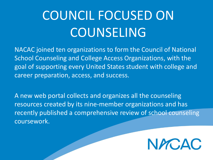# COUNCIL FOCUSED ON **COUNSELING**

NACAC joined ten organizations to form the Council of National School Counseling and College Access Organizations, with the goal of supporting every United States student with college and career preparation, access, and success.

A new web portal collects and organizes all the counseling resources created by its nine-member organizations and has recently published a comprehensive review of school counseling coursework.

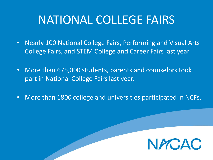### NATIONAL COLLEGE FAIRS

- Nearly 100 National College Fairs, Performing and Visual Arts College Fairs, and STEM College and Career Fairs last year
- More than 675,000 students, parents and counselors took part in National College Fairs last year.
- More than 1800 college and universities participated in NCFs.

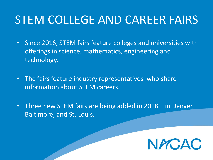### STEM COLLEGE AND CAREER FAIRS

- Since 2016, STEM fairs feature colleges and universities with offerings in science, mathematics, engineering and technology.
- The fairs feature industry representatives who share information about STEM careers.
- Three new STEM fairs are being added in 2018 in Denver, Baltimore, and St. Louis.

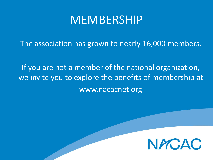### MEMBERSHIP

The association has grown to nearly 16,000 members.

If you are not a member of the national organization, we invite you to explore the benefits of membership at www.nacacnet.org

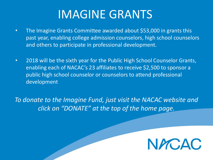### IMAGINE GRANTS

- The Imagine Grants Committee awarded about \$53,000 in grants this past year, enabling college admission counselors, high school counselors and others to participate in professional development.
- 2018 will be the sixth year for the Public High School Counselor Grants, enabling each of NACAC's 23 affiliates to receive \$2,500 to sponsor a public high school counselor or counselors to attend professional development

*To donate to the Imagine Fund, just visit the NACAC website and click on "DONATE" at the top of the home page.*

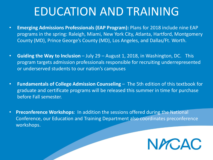### EDUCATION AND TRAINING

- **Emerging Admissions Professionals (EAP Program):** Plans for 2018 include nine EAP programs in the spring: Raleigh, Miami, New York City, Atlanta, Hartford, Montgomery County (MD), Prince George's County (MD), Los Angeles, and Dallas/Ft. Worth.
- **Guiding the Way to Inclusion** July 29 August 1, 2018, in Washington, DC. This program targets admission professionals responsible for recruiting underrepresented or underserved students to our nation's campuses
- **Fundamentals of College Admission Counseling** The 5th edition of this textbook for graduate and certificate programs will be released this summer in time for purchase before Fall semester.
- **Preconference Workshops**: In addition the sessions offered during the National Conference, our Education and Training Department also coordinates preconference workshops.

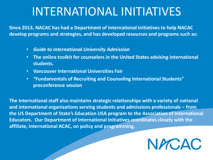### INTERNATIONAL INITIATIVES

**Since 2013, NACAC has had a Department of International Initiatives to help NACAC develop programs and strategies, and has developed resources and programs such as:**

- *Guide to International University Admission*
- **The online toolkit for counselors in the United States advising international students.**
- **Vancouver International Universities Fair**
- **"Fundamentals of Recruiting and Counseling International Students" preconference session**

**The International staff also maintains strategic relationships with a variety of national and international organizations serving students and admissions professionals – from the US Department of State's Education USA program to the Association of International Educators. Our Department of International Initiatives coordinates closely with the affiliate, International ACAC, on policy and programming.**

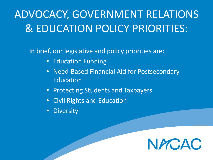## ADVOCACY, GOVERNMENT RELATIONS & EDUCATION POLICY PRIORITIES:

In brief, our legislative and policy priorities are:

- Education Funding
- Need-Based Financial Aid for Postsecondary Education
- Protecting Students and Taxpayers
- Civil Rights and Education
- Diversity

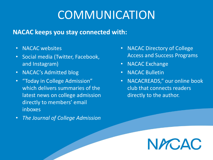## **COMMUNICATION**

#### **NACAC keeps you stay connected with:**

- NACAC websites
- Social media (Twitter, Facebook, and Instagram)
- NACAC's Admitted blog
- "Today in College Admission" which delivers summaries of the latest news on college admission directly to members' email inboxes
- *The Journal of College Admission*
- NACAC Directory of College Access and Success Programs
- NACAC Exchange
- NACAC Bulletin
- NACACREADS," our online book club that connects readers directly to the author.

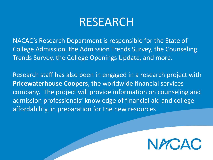### RESEARCH

NACAC's Research Department is responsible for the State of College Admission, the Admission Trends Survey, the Counseling Trends Survey, the College Openings Update, and more.

Research staff has also been in engaged in a research project with **Pricewaterhouse Coopers**, the worldwide financial services company. The project will provide information on counseling and admission professionals' knowledge of financial aid and college affordability, in preparation for the new resources

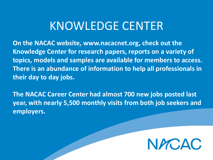### KNOWLEDGE CENTER

**On the NACAC website, www.nacacnet.org, check out the Knowledge Center for research papers, reports on a variety of topics, models and samples are available for members to access. There is an abundance of information to help all professionals in their day to day jobs.**

**The NACAC Career Center had almost 700 new jobs posted last year, with nearly 5,500 monthly visits from both job seekers and employers.**

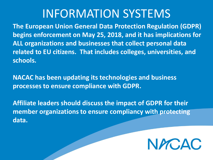### INFORMATION SYSTEMS

**The European Union General Data Protection Regulation (GDPR) begins enforcement on May 25, 2018, and it has implications for ALL organizations and businesses that collect personal data related to EU citizens. That includes colleges, universities, and schools.** 

**NACAC has been updating its technologies and business processes to ensure compliance with GDPR.** 

**Affiliate leaders should discuss the impact of GDPR for their member organizations to ensure compliancy with protecting data.** 

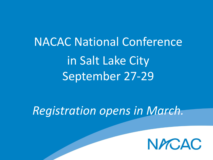NACAC National Conference in Salt Lake City September 27-29

*Registration opens in March.*